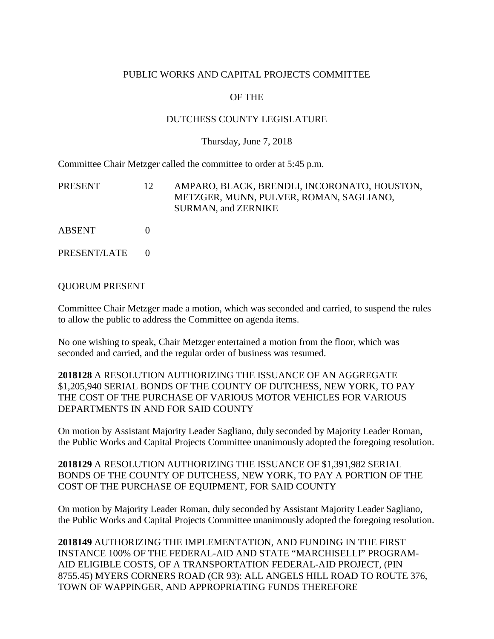# PUBLIC WORKS AND CAPITAL PROJECTS COMMITTEE

# OF THE

# DUTCHESS COUNTY LEGISLATURE

### Thursday, June 7, 2018

Committee Chair Metzger called the committee to order at 5:45 p.m.

| PRESENT      | 12 | AMPARO, BLACK, BRENDLI, INCORONATO, HOUSTON,<br>METZGER, MUNN, PULVER, ROMAN, SAGLIANO,<br><b>SURMAN, and ZERNIKE</b> |
|--------------|----|-----------------------------------------------------------------------------------------------------------------------|
| ABSENT       |    |                                                                                                                       |
| PRESENT/LATE |    |                                                                                                                       |

### QUORUM PRESENT

Committee Chair Metzger made a motion, which was seconded and carried, to suspend the rules to allow the public to address the Committee on agenda items.

No one wishing to speak, Chair Metzger entertained a motion from the floor, which was seconded and carried, and the regular order of business was resumed.

**2018128** A RESOLUTION AUTHORIZING THE ISSUANCE OF AN AGGREGATE \$1,205,940 SERIAL BONDS OF THE COUNTY OF DUTCHESS, NEW YORK, TO PAY THE COST OF THE PURCHASE OF VARIOUS MOTOR VEHICLES FOR VARIOUS DEPARTMENTS IN AND FOR SAID COUNTY

On motion by Assistant Majority Leader Sagliano, duly seconded by Majority Leader Roman, the Public Works and Capital Projects Committee unanimously adopted the foregoing resolution.

**2018129** A RESOLUTION AUTHORIZING THE ISSUANCE OF \$1,391,982 SERIAL BONDS OF THE COUNTY OF DUTCHESS, NEW YORK, TO PAY A PORTION OF THE COST OF THE PURCHASE OF EQUIPMENT, FOR SAID COUNTY

On motion by Majority Leader Roman, duly seconded by Assistant Majority Leader Sagliano, the Public Works and Capital Projects Committee unanimously adopted the foregoing resolution.

**2018149** AUTHORIZING THE IMPLEMENTATION, AND FUNDING IN THE FIRST INSTANCE 100% OF THE FEDERAL-AID AND STATE "MARCHISELLI" PROGRAM-AID ELIGIBLE COSTS, OF A TRANSPORTATION FEDERAL-AID PROJECT, (PIN 8755.45) MYERS CORNERS ROAD (CR 93): ALL ANGELS HILL ROAD TO ROUTE 376, TOWN OF WAPPINGER, AND APPROPRIATING FUNDS THEREFORE